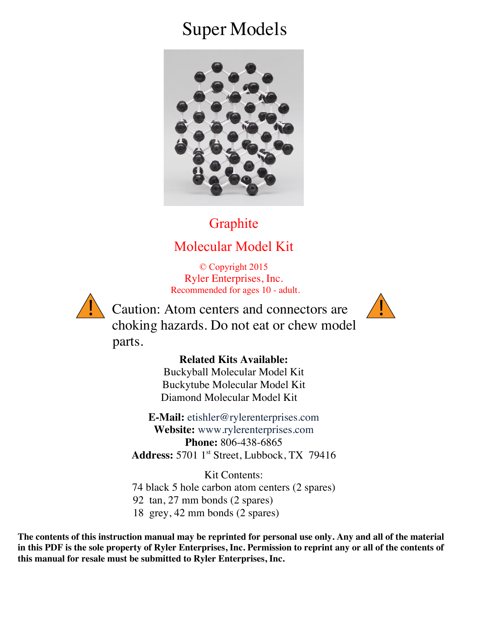# Super Models



### **Graphite**

## Molecular Model Kit

© Copyright 2015 Ryler Enterprises, Inc. Recommended for ages 10 - adult.



 $\sum$  Caution: Atom centers and connectors are  $\sum$  choking hazards. Do not eat or chew model parts.



#### **Related Kits Available:**

Buckyball Molecular Model Kit Buckytube Molecular Model Kit Diamond Molecular Model Kit

**E-Mail:** etishler@rylerenterprises.com **Website:** www.rylerenterprises.com **Phone:** 806-438-6865 **Address:** 5701 1st Street, Lubbock, TX 79416

Kit Contents: 74 black 5 hole carbon atom centers (2 spares) 92 tan, 27 mm bonds (2 spares) 18 grey, 42 mm bonds (2 spares)

**The contents of this instruction manual may be reprinted for personal use only. Any and all of the material in this PDF is the sole property of Ryler Enterprises, Inc. Permission to reprint any or all of the contents of this manual for resale must be submitted to Ryler Enterprises, Inc.**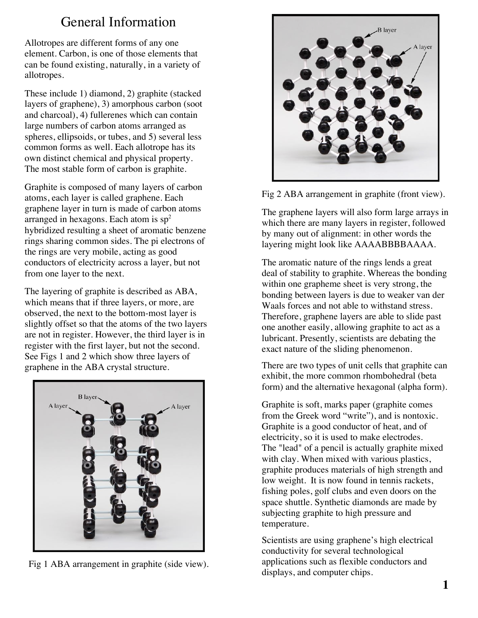### General Information

Allotropes are different forms of any one element. Carbon, is one of those elements that can be found existing, naturally, in a variety of allotropes.

These include 1) diamond, 2) graphite (stacked layers of graphene), 3) amorphous carbon (soot and charcoal), 4) fullerenes which can contain large numbers of carbon atoms arranged as spheres, ellipsoids, or tubes, and 5) several less common forms as well. Each allotrope has its own distinct chemical and physical property. The most stable form of carbon is graphite.

Graphite is composed of many layers of carbon atoms, each layer is called graphene. Each graphene layer in turn is made of carbon atoms arranged in hexagons. Each atom is  $sp<sup>2</sup>$ hybridized resulting a sheet of aromatic benzene rings sharing common sides. The pi electrons of the rings are very mobile, acting as good conductors of electricity across a layer, but not from one layer to the next.

The layering of graphite is described as ABA, which means that if three layers, or more, are observed, the next to the bottom-most layer is slightly offset so that the atoms of the two layers are not in register. However, the third layer is in register with the first layer, but not the second. See Figs 1 and 2 which show three layers of graphene in the ABA crystal structure.



Fig 1 ABA arrangement in graphite (side view).



Fig 2 ABA arrangement in graphite (front view).

The graphene layers will also form large arrays in which there are many layers in register, followed by many out of alignment: in other words the layering might look like AAAABBBBAAAA.

The aromatic nature of the rings lends a great deal of stability to graphite. Whereas the bonding within one grapheme sheet is very strong, the bonding between layers is due to weaker van der Waals forces and not able to withstand stress. Therefore, graphene layers are able to slide past one another easily, allowing graphite to act as a lubricant. Presently, scientists are debating the exact nature of the sliding phenomenon.

There are two types of unit cells that graphite can exhibit, the more common rhombohedral (beta form) and the alternative hexagonal (alpha form).

Graphite is soft, marks paper (graphite comes from the Greek word "write"), and is nontoxic. Graphite is a good conductor of heat, and of electricity, so it is used to make electrodes. The "lead" of a pencil is actually graphite mixed with clay. When mixed with various plastics, graphite produces materials of high strength and low weight. It is now found in tennis rackets, fishing poles, golf clubs and even doors on the space shuttle. Synthetic diamonds are made by subjecting graphite to high pressure and temperature.

Scientists are using graphene's high electrical conductivity for several technological applications such as flexible conductors and displays, and computer chips.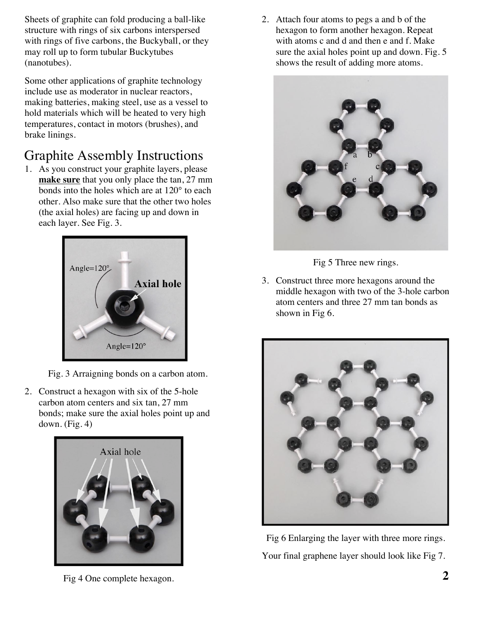Sheets of graphite can fold producing a ball-like structure with rings of six carbons interspersed with rings of five carbons, the Buckyball, or they may roll up to form tubular Buckytubes (nanotubes).

Some other applications of graphite technology include use as moderator in nuclear reactors, making batteries, making steel, use as a vessel to hold materials which will be heated to very high temperatures, contact in motors (brushes), and brake linings.

# Graphite Assembly Instructions

1. As you construct your graphite layers, please **make sure** that you only place the tan, 27 mm bonds into the holes which are at 120° to each other. Also make sure that the other two holes (the axial holes) are facing up and down in each layer. See Fig. 3.



Fig. 3 Arraigning bonds on a carbon atom.

2. Construct a hexagon with six of the 5-hole carbon atom centers and six tan, 27 mm bonds; make sure the axial holes point up and down. (Fig. 4)



Fig 4 One complete hexagon.

2. Attach four atoms to pegs a and b of the hexagon to form another hexagon. Repeat with atoms c and d and then e and f. Make sure the axial holes point up and down. Fig. 5 shows the result of adding more atoms.



Fig 5 Three new rings.

3. Construct three more hexagons around the middle hexagon with two of the 3-hole carbon atom centers and three 27 mm tan bonds as shown in Fig 6.



Fig 6 Enlarging the layer with three more rings. Your final graphene layer should look like Fig 7.